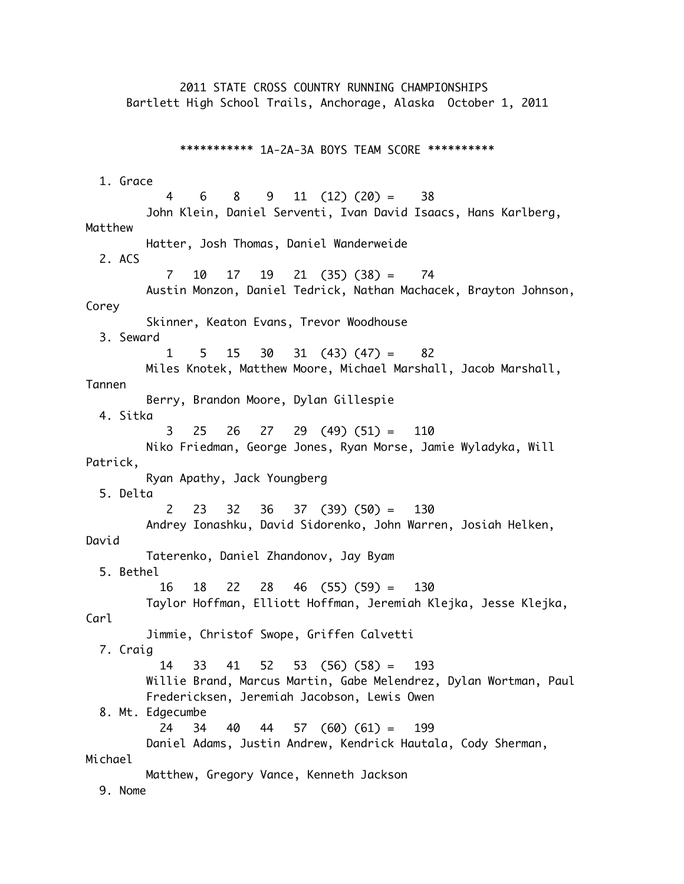2011 STATE CROSS COUNTRY RUNNING CHAMPIONSHIPS Bartlett High School Trails, Anchorage, Alaska October 1, 2011 \*\*\*\*\*\*\*\*\*\*\* 1A-2A-3A BOYS TEAM SCORE \*\*\*\*\*\*\*\*\*\* 1. Grace 4 6 8 9 11 (12) (20) = 38 John Klein, Daniel Serventi, Ivan David Isaacs, Hans Karlberg, Matthew Hatter, Josh Thomas, Daniel Wanderweide 2. ACS 7 10 17 19 21 (35) (38) = 74 Austin Monzon, Daniel Tedrick, Nathan Machacek, Brayton Johnson, Corey Skinner, Keaton Evans, Trevor Woodhouse 3. Seward 1 5 15 30 31 (43) (47) = 82 Miles Knotek, Matthew Moore, Michael Marshall, Jacob Marshall, Tannen Berry, Brandon Moore, Dylan Gillespie 4. Sitka 3 25 26 27 29 (49) (51) = 110 Niko Friedman, George Jones, Ryan Morse, Jamie Wyladyka, Will Patrick, Ryan Apathy, Jack Youngberg 5. Delta 2 23 32 36 37 (39) (50) = 130 Andrey Ionashku, David Sidorenko, John Warren, Josiah Helken, David Taterenko, Daniel Zhandonov, Jay Byam 5. Bethel 16 18 22 28 46 (55) (59) = 130 Taylor Hoffman, Elliott Hoffman, Jeremiah Klejka, Jesse Klejka, Carl Jimmie, Christof Swope, Griffen Calvetti 7. Craig 14 33 41 52 53 (56) (58) = 193 Willie Brand, Marcus Martin, Gabe Melendrez, Dylan Wortman, Paul Fredericksen, Jeremiah Jacobson, Lewis Owen 8. Mt. Edgecumbe 24 34 40 44 57 (60) (61) = 199 Daniel Adams, Justin Andrew, Kendrick Hautala, Cody Sherman, Michael Matthew, Gregory Vance, Kenneth Jackson 9. Nome